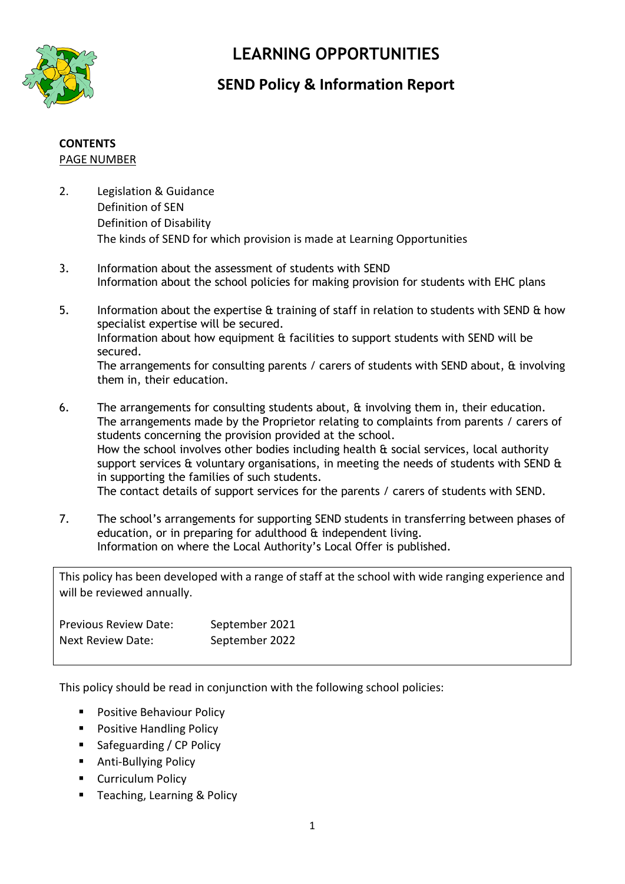

# **LEARNING OPPORTUNITIES**

# **SEND Policy & Information Report**

#### **CONTENTS** PAGE NUMBER

- 2. Legislation & Guidance Definition of SEN Definition of Disability The kinds of SEND for which provision is made at Learning Opportunities
- 3. Information about the assessment of students with SEND Information about the school policies for making provision for students with EHC plans
- 5. Information about the expertise & training of staff in relation to students with SEND & how specialist expertise will be secured. Information about how equipment & facilities to support students with SEND will be secured. The arrangements for consulting parents / carers of students with SEND about, & involving them in, their education.
- 6. The arrangements for consulting students about, & involving them in, their education. The arrangements made by the Proprietor relating to complaints from parents / carers of students concerning the provision provided at the school. How the school involves other bodies including health & social services, local authority support services & voluntary organisations, in meeting the needs of students with SEND & in supporting the families of such students. The contact details of support services for the parents / carers of students with SEND.
- 7. The school's arrangements for supporting SEND students in transferring between phases of education, or in preparing for adulthood & independent living. Information on where the Local Authority's Local Offer is published.

This policy has been developed with a range of staff at the school with wide ranging experience and will be reviewed annually.

Previous Review Date: September 2021 Next Review Date: September 2022

This policy should be read in conjunction with the following school policies:

- **Positive Behaviour Policy**
- **Positive Handling Policy**
- Safeguarding / CP Policy
- **Anti-Bullying Policy**
- **E** Curriculum Policy
- **Teaching, Learning & Policy**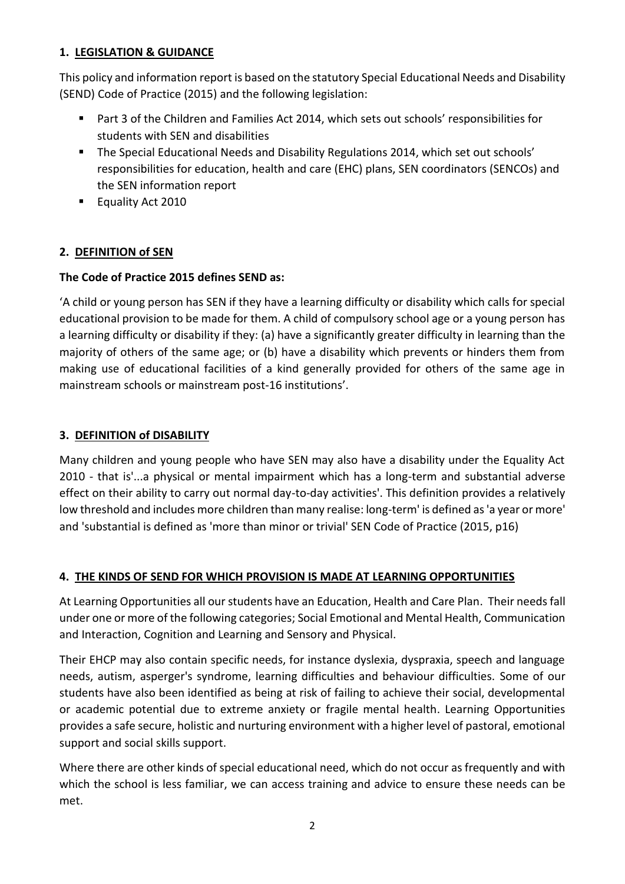### **1. LEGISLATION & GUIDANCE**

This policy and information report is based on the statutory Special Educational Needs and Disability (SEND) Code of Practice (2015) and the following legislation:

- Part 3 of the Children and Families Act 2014, which sets out schools' responsibilities for students with SEN and disabilities
- The Special Educational Needs and Disability Regulations 2014, which set out schools' responsibilities for education, health and care (EHC) plans, SEN coordinators (SENCOs) and the SEN information report
- **Equality Act 2010**

# **2. DEFINITION of SEN**

# **The Code of Practice 2015 defines SEND as:**

'A child or young person has SEN if they have a learning difficulty or disability which calls for special educational provision to be made for them. A child of compulsory school age or a young person has a learning difficulty or disability if they: (a) have a significantly greater difficulty in learning than the majority of others of the same age; or (b) have a disability which prevents or hinders them from making use of educational facilities of a kind generally provided for others of the same age in mainstream schools or mainstream post-16 institutions'.

#### **3. DEFINITION of DISABILITY**

Many children and young people who have SEN may also have a disability under the Equality Act 2010 - that is'...a physical or mental impairment which has a long-term and substantial adverse effect on their ability to carry out normal day-to-day activities'. This definition provides a relatively low threshold and includes more children than many realise: long-term' is defined as 'a year or more' and 'substantial is defined as 'more than minor or trivial' SEN Code of Practice (2015, p16)

#### **4. THE KINDS OF SEND FOR WHICH PROVISION IS MADE AT LEARNING OPPORTUNITIES**

At Learning Opportunities all our students have an Education, Health and Care Plan. Their needs fall under one or more of the following categories; Social Emotional and Mental Health, Communication and Interaction, Cognition and Learning and Sensory and Physical.

Their EHCP may also contain specific needs, for instance dyslexia, dyspraxia, speech and language needs, autism, asperger's syndrome, learning difficulties and behaviour difficulties. Some of our students have also been identified as being at risk of failing to achieve their social, developmental or academic potential due to extreme anxiety or fragile mental health. Learning Opportunities provides a safe secure, holistic and nurturing environment with a higher level of pastoral, emotional support and social skills support.

Where there are other kinds of special educational need, which do not occur as frequently and with which the school is less familiar, we can access training and advice to ensure these needs can be met.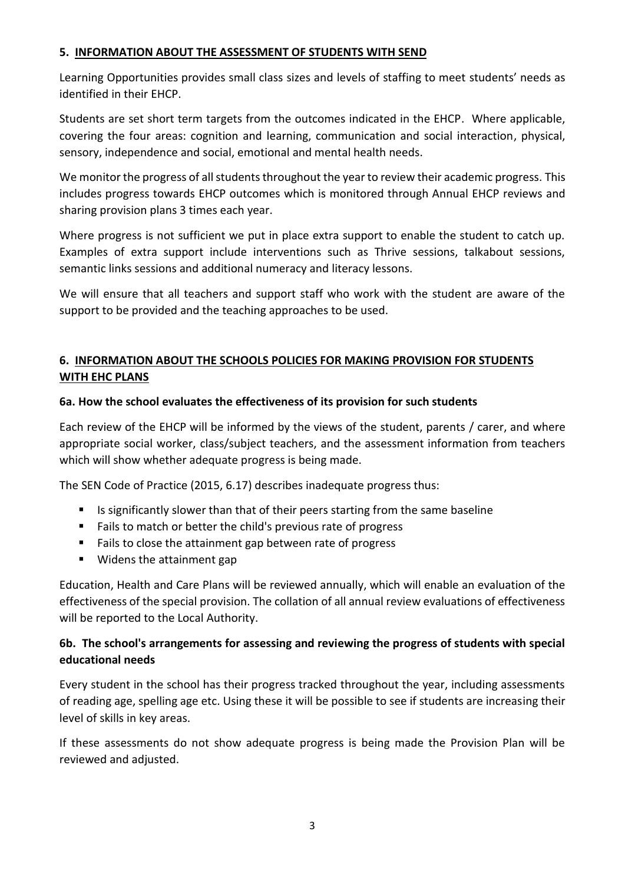#### **5. INFORMATION ABOUT THE ASSESSMENT OF STUDENTS WITH SEND**

Learning Opportunities provides small class sizes and levels of staffing to meet students' needs as identified in their EHCP.

Students are set short term targets from the outcomes indicated in the EHCP. Where applicable, covering the four areas: cognition and learning, communication and social interaction, physical, sensory, independence and social, emotional and mental health needs.

We monitor the progress of all students throughout the year to review their academic progress. This includes progress towards EHCP outcomes which is monitored through Annual EHCP reviews and sharing provision plans 3 times each year.

Where progress is not sufficient we put in place extra support to enable the student to catch up. Examples of extra support include interventions such as Thrive sessions, talkabout sessions, semantic links sessions and additional numeracy and literacy lessons.

We will ensure that all teachers and support staff who work with the student are aware of the support to be provided and the teaching approaches to be used.

# **6. INFORMATION ABOUT THE SCHOOLS POLICIES FOR MAKING PROVISION FOR STUDENTS WITH EHC PLANS**

#### **6a. How the school evaluates the effectiveness of its provision for such students**

Each review of the EHCP will be informed by the views of the student, parents / carer, and where appropriate social worker, class/subject teachers, and the assessment information from teachers which will show whether adequate progress is being made.

The SEN Code of Practice (2015, 6.17) describes inadequate progress thus:

- Is significantly slower than that of their peers starting from the same baseline
- Fails to match or better the child's previous rate of progress
- Fails to close the attainment gap between rate of progress
- Widens the attainment gap

Education, Health and Care Plans will be reviewed annually, which will enable an evaluation of the effectiveness of the special provision. The collation of all annual review evaluations of effectiveness will be reported to the Local Authority.

# **6b. The school's arrangements for assessing and reviewing the progress of students with special educational needs**

Every student in the school has their progress tracked throughout the year, including assessments of reading age, spelling age etc. Using these it will be possible to see if students are increasing their level of skills in key areas.

If these assessments do not show adequate progress is being made the Provision Plan will be reviewed and adjusted.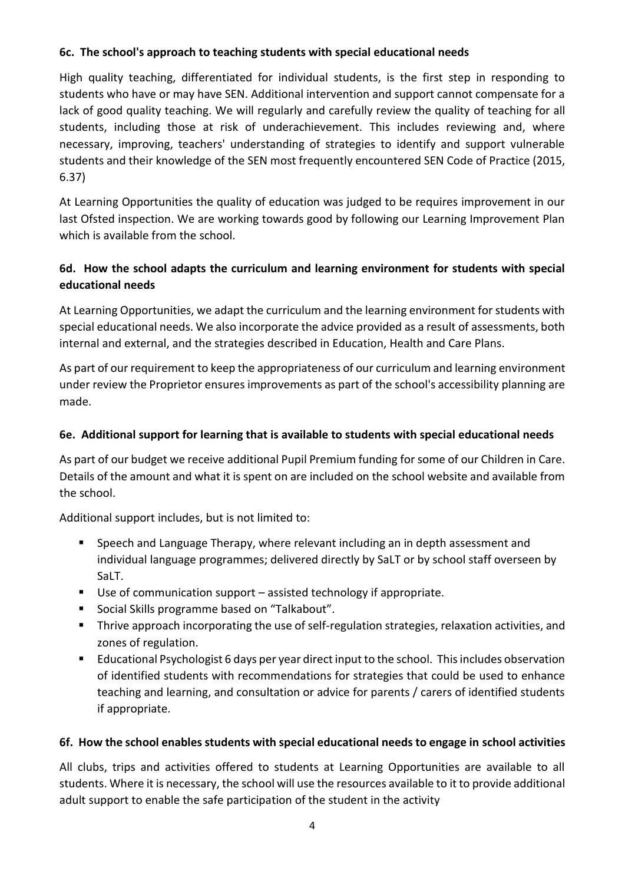# **6c. The school's approach to teaching students with special educational needs**

High quality teaching, differentiated for individual students, is the first step in responding to students who have or may have SEN. Additional intervention and support cannot compensate for a lack of good quality teaching. We will regularly and carefully review the quality of teaching for all students, including those at risk of underachievement. This includes reviewing and, where necessary, improving, teachers' understanding of strategies to identify and support vulnerable students and their knowledge of the SEN most frequently encountered SEN Code of Practice (2015, 6.37)

At Learning Opportunities the quality of education was judged to be requires improvement in our last Ofsted inspection. We are working towards good by following our Learning Improvement Plan which is available from the school.

# **6d. How the school adapts the curriculum and learning environment for students with special educational needs**

At Learning Opportunities, we adapt the curriculum and the learning environment for students with special educational needs. We also incorporate the advice provided as a result of assessments, both internal and external, and the strategies described in Education, Health and Care Plans.

As part of our requirement to keep the appropriateness of our curriculum and learning environment under review the Proprietor ensures improvements as part of the school's accessibility planning are made.

#### **6e. Additional support for learning that is available to students with special educational needs**

As part of our budget we receive additional Pupil Premium funding for some of our Children in Care. Details of the amount and what it is spent on are included on the school website and available from the school.

Additional support includes, but is not limited to:

- Speech and Language Therapy, where relevant including an in depth assessment and individual language programmes; delivered directly by SaLT or by school staff overseen by SaLT.
- $\blacksquare$  Use of communication support assisted technology if appropriate.
- Social Skills programme based on "Talkabout".
- **Thrive approach incorporating the use of self-regulation strategies, relaxation activities, and** zones of regulation.
- Educational Psychologist 6 days per year direct input to the school. This includes observation of identified students with recommendations for strategies that could be used to enhance teaching and learning, and consultation or advice for parents / carers of identified students if appropriate.

#### **6f. How the school enables students with special educational needs to engage in school activities**

All clubs, trips and activities offered to students at Learning Opportunities are available to all students. Where it is necessary, the school will use the resources available to it to provide additional adult support to enable the safe participation of the student in the activity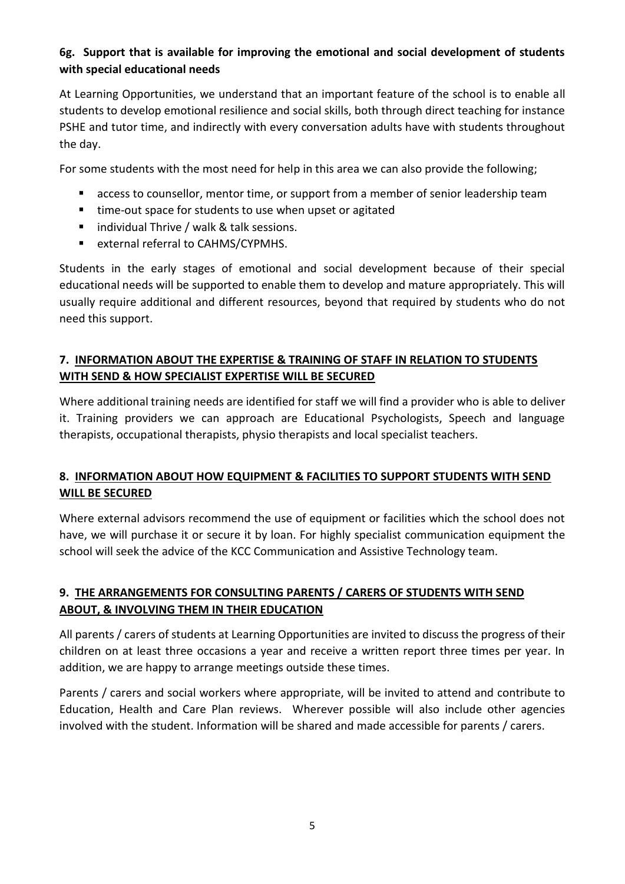# **6g. Support that is available for improving the emotional and social development of students with special educational needs**

At Learning Opportunities, we understand that an important feature of the school is to enable all students to develop emotional resilience and social skills, both through direct teaching for instance PSHE and tutor time, and indirectly with every conversation adults have with students throughout the day.

For some students with the most need for help in this area we can also provide the following;

- access to counsellor, mentor time, or support from a member of senior leadership team
- time-out space for students to use when upset or agitated
- individual Thrive / walk & talk sessions.
- external referral to CAHMS/CYPMHS.

Students in the early stages of emotional and social development because of their special educational needs will be supported to enable them to develop and mature appropriately. This will usually require additional and different resources, beyond that required by students who do not need this support.

# **7. INFORMATION ABOUT THE EXPERTISE & TRAINING OF STAFF IN RELATION TO STUDENTS WITH SEND & HOW SPECIALIST EXPERTISE WILL BE SECURED**

Where additional training needs are identified for staff we will find a provider who is able to deliver it. Training providers we can approach are Educational Psychologists, Speech and language therapists, occupational therapists, physio therapists and local specialist teachers.

# **8. INFORMATION ABOUT HOW EQUIPMENT & FACILITIES TO SUPPORT STUDENTS WITH SEND WILL BE SECURED**

Where external advisors recommend the use of equipment or facilities which the school does not have, we will purchase it or secure it by loan. For highly specialist communication equipment the school will seek the advice of the KCC Communication and Assistive Technology team.

# **9. THE ARRANGEMENTS FOR CONSULTING PARENTS / CARERS OF STUDENTS WITH SEND ABOUT, & INVOLVING THEM IN THEIR EDUCATION**

All parents / carers of students at Learning Opportunities are invited to discuss the progress of their children on at least three occasions a year and receive a written report three times per year. In addition, we are happy to arrange meetings outside these times.

Parents / carers and social workers where appropriate, will be invited to attend and contribute to Education, Health and Care Plan reviews. Wherever possible will also include other agencies involved with the student. Information will be shared and made accessible for parents / carers.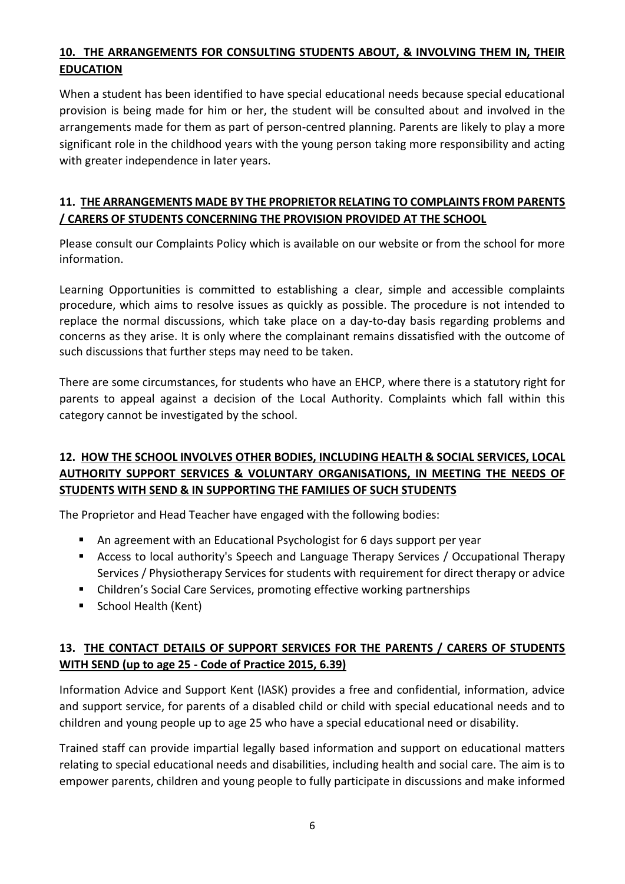# **10. THE ARRANGEMENTS FOR CONSULTING STUDENTS ABOUT, & INVOLVING THEM IN, THEIR EDUCATION**

When a student has been identified to have special educational needs because special educational provision is being made for him or her, the student will be consulted about and involved in the arrangements made for them as part of person-centred planning. Parents are likely to play a more significant role in the childhood years with the young person taking more responsibility and acting with greater independence in later years.

# **11. THE ARRANGEMENTS MADE BY THE PROPRIETOR RELATING TO COMPLAINTS FROM PARENTS / CARERS OF STUDENTS CONCERNING THE PROVISION PROVIDED AT THE SCHOOL**

Please consult our Complaints Policy which is available on our website or from the school for more information.

Learning Opportunities is committed to establishing a clear, simple and accessible complaints procedure, which aims to resolve issues as quickly as possible. The procedure is not intended to replace the normal discussions, which take place on a day-to-day basis regarding problems and concerns as they arise. It is only where the complainant remains dissatisfied with the outcome of such discussions that further steps may need to be taken.

There are some circumstances, for students who have an EHCP, where there is a statutory right for parents to appeal against a decision of the Local Authority. Complaints which fall within this category cannot be investigated by the school.

# **12. HOW THE SCHOOL INVOLVES OTHER BODIES, INCLUDING HEALTH & SOCIAL SERVICES, LOCAL AUTHORITY SUPPORT SERVICES & VOLUNTARY ORGANISATIONS, IN MEETING THE NEEDS OF STUDENTS WITH SEND & IN SUPPORTING THE FAMILIES OF SUCH STUDENTS**

The Proprietor and Head Teacher have engaged with the following bodies:

- An agreement with an Educational Psychologist for 6 days support per year
- Access to local authority's Speech and Language Therapy Services / Occupational Therapy Services / Physiotherapy Services for students with requirement for direct therapy or advice
- Children's Social Care Services, promoting effective working partnerships
- School Health (Kent)

# **13. THE CONTACT DETAILS OF SUPPORT SERVICES FOR THE PARENTS / CARERS OF STUDENTS WITH SEND (up to age 25 - Code of Practice 2015, 6.39)**

Information Advice and Support Kent (IASK) provides a free and confidential, information, advice and support service, for parents of a disabled child or child with special educational needs and to children and young people up to age 25 who have a special educational need or disability.

Trained staff can provide impartial legally based information and support on educational matters relating to special educational needs and disabilities, including health and social care. The aim is to empower parents, children and young people to fully participate in discussions and make informed